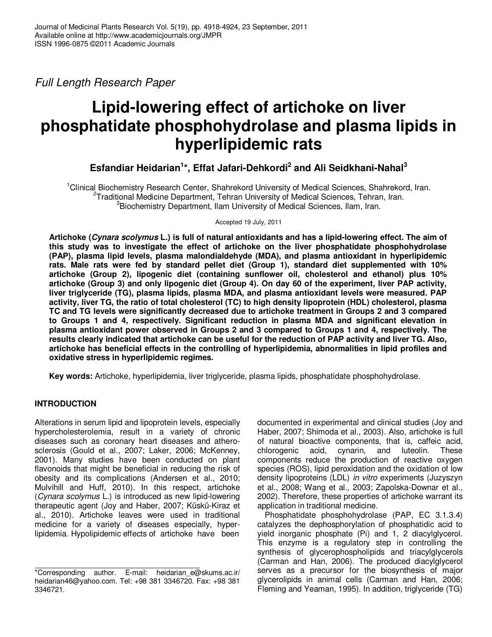Full Length Research Paper

# **Lipid-lowering effect of artichoke on liver phosphatidate phosphohydrolase and plasma lipids in hyperlipidemic rats**

**Esfandiar Heidarian<sup>1</sup> \*, Effat Jafari-Dehkordi<sup>2</sup> and Ali Seidkhani-Nahal<sup>3</sup>**

<sup>1</sup>Clinical Biochemistry Research Center, Shahrekord University of Medical Sciences, Shahrekord, Iran. <sup>2</sup>Traditional Medicine Department, Tehran University of Medical Sciences, Tehran, Iran. <sup>3</sup>Biochemistry Department, Ilam University of Medical Sciences, Ilam, Iran.

Accepted 19 July, 2011

**Artichoke (Cynara scolymus L.) is full of natural antioxidants and has a lipid-lowering effect. The aim of this study was to investigate the effect of artichoke on the liver phosphatidate phosphohydrolase (PAP), plasma lipid levels, plasma malondialdehyde (MDA), and plasma antioxidant in hyperlipidemic rats. Male rats were fed by standard pellet diet (Group 1), standard diet supplemented with 10% artichoke (Group 2), lipogenic diet (containing sunflower oil, cholesterol and ethanol) plus 10% artichoke (Group 3) and only lipogenic diet (Group 4). On day 60 of the experiment, liver PAP activity, liver triglyceride (TG), plasma lipids, plasma MDA, and plasma antioxidant levels were measured. PAP activity, liver TG, the ratio of total cholesterol (TC) to high density lipoprotein (HDL) cholesterol, plasma TC and TG levels were significantly decreased due to artichoke treatment in Groups 2 and 3 compared to Groups 1 and 4, respectively. Significant reduction in plasma MDA and significant elevation in plasma antioxidant power observed in Groups 2 and 3 compared to Groups 1 and 4, respectively. The results clearly indicated that artichoke can be useful for the reduction of PAP activity and liver TG. Also, artichoke has beneficial effects in the controlling of hyperlipidemia, abnormalities in lipid profiles and oxidative stress in hyperlipidemic regimes.** 

**Key words:** Artichoke, hyperlipidemia, liver triglyceride, plasma lipids, phosphatidate phosphohydrolase.

# **INTRODUCTION**

Alterations in serum lipid and lipoprotein levels, especially hypercholesterolemia, result in a variety of chronic diseases such as coronary heart diseases and atherosclerosis (Gould et al., 2007; Laker, 2006; McKenney, 2001). Many studies have been conducted on plant flavonoids that might be beneficial in reducing the risk of obesity and its complications (Andersen et al., 2010; Mulvihill and Huff, 2010). In this respect, artichoke (Cynara scolymus L.) is introduced as new lipid-lowering therapeutic agent (Joy and Haber, 2007; Küskü-Kiraz et al., 2010). Artichoke leaves were used in traditional medicine for a variety of diseases especially, hyperlipidemia. Hypolipidemic effects of artichoke have been

documented in experimental and clinical studies (Joy and Haber, 2007; Shimoda et al., 2003). Also, artichoke is full of natural bioactive components, that is, caffeic acid,<br>chlorogenic acid, cynarin, and luteolin. These chlorogenic acid, cynarin, and luteolin. These components reduce the production of reactive oxygen species (ROS), lipid peroxidation and the oxidation of low density lipoproteins (LDL) in vitro experiments (Juzyszyn et al., 2008; Wang et al., 2003; Zapolska-Downar et al., 2002). Therefore, these properties of artichoke warrant its application in traditional medicine.

Phosphatidate phosphohydrolase (PAP, EC 3.1.3.4) catalyzes the dephosphorylation of phosphatidic acid to yield inorganic phosphate (Pi) and 1, 2 diacylglycerol. This enzyme is a regulatory step in controlling the synthesis of glycerophospholipids and triacylglycerols (Carman and Han, 2006). The produced diacylglycerol serves as a precursor for the biosynthesis of major glycerolipids in animal cells (Carman and Han, 2006; Fleming and Yeaman, 1995). In addition, triglyceride (TG)

<sup>\*</sup>Corresponding author. E-mail: heidarian\_e@skums.ac.ir/ heidarian46@yahoo.com. Tel: +98 381 3346720. Fax: +98 381 3346721.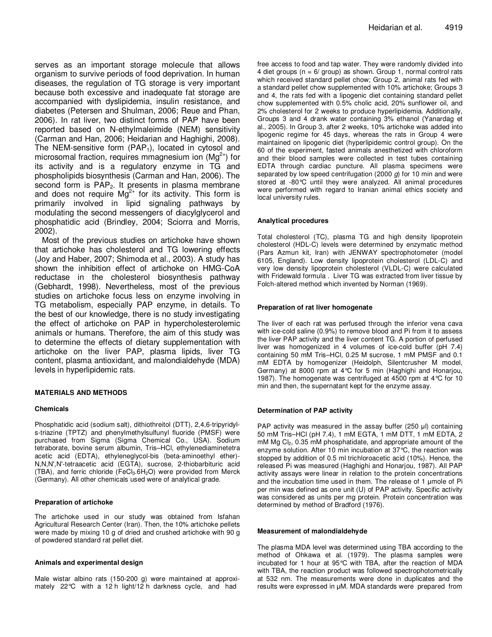serves as an important storage molecule that allows organism to survive periods of food deprivation. In human diseases, the regulation of TG storage is very important because both excessive and inadequate fat storage are accompanied with dyslipidemia, insulin resistance, and diabetes (Petersen and Shulman, 2006; Reue and Phan, 2006). In rat liver, two distinct forms of PAP have been reported based on N-ethylmaleimide (NEM) sensitivity (Carman and Han, 2006; Heidarian and Haghighi, 2008). The NEM-sensitive form  $(PAP_1)$ , located in cytosol and microsomal fraction, requires mmagnesium ion  $(Mg<sup>2+</sup>)$  for its activity and is a regulatory enzyme in TG and phospholipids biosynthesis (Carman and Han, 2006). The second form is  $PAP<sub>2</sub>$ . It presents in plasma membrane and does not require  $Mg^{2+}$  for its activity. This form is primarily involved in lipid signaling pathways by modulating the second messengers of diacylglycerol and phosphatidic acid (Brindley, 2004; Sciorra and Morris, 2002).

Most of the previous studies on artichoke have shown that artichoke has cholesterol and TG lowering effects (Joy and Haber, 2007; Shimoda et al., 2003). A study has shown the inhibition effect of artichoke on HMG-CoA reductase in the cholesterol biosynthesis pathway (Gebhardt, 1998). Nevertheless, most of the previous studies on artichoke focus less on enzyme involving in TG metabolism, especially PAP enzyme, in details. To the best of our knowledge, there is no study investigating the effect of artichoke on PAP in hypercholesterolemic animals or humans. Therefore, the aim of this study was to determine the effects of dietary supplementation with artichoke on the liver PAP, plasma lipids, liver TG content, plasma antioxidant, and malondialdehyde (MDA) levels in hyperlipidemic rats.

## **MATERIALS AND METHODS**

#### **Chemicals**

Phosphatidic acid (sodium salt), dithiothreitol (DTT), 2,4,6-tripyridyls-triazine (TPTZ) and phenylmethylsulfunyl fluoride (PMSF) were purchased from Sigma (Sigma Chemical Co., USA). Sodium tetraborate, bovine serum albumin, Tris–HCl, ethylenediaminetetra acetic acid (EDTA), ethyleneglycol-bis (beta-aminoethyl ether)- N,N,N',N'-tetraacetic acid (EGTA), sucrose, 2-thiobarbituric acid (TBA), and ferric chloride (FeCl<sub>3</sub>.6H<sub>2</sub>O) were provided from Merck (Germany). All other chemicals used were of analytical grade.

#### **Preparation of artichoke**

The artichoke used in our study was obtained from Isfahan Agricultural Research Center (Iran). Then, the 10% artichoke pellets were made by mixing 10 g of dried and crushed artichoke with 90 g of powdered standard rat pellet diet.

#### **Animals and experimental design**

Male wistar albino rats (150-200 g) were maintained at approximately 22°C with a 12 h light/12 h darkness cycle, and had

free access to food and tap water. They were randomly divided into 4 diet groups ( $n = 6$  group) as shown. Group 1, normal control rats which received standard pellet chow; Group 2, animal rats fed with a standard pellet chow supplemented with 10% artichoke; Groups 3 and 4, the rats fed with a lipogenic diet containing standard pellet chow supplemented with 0.5% cholic acid, 20% sunflower oil, and 2% cholesterol for 2 weeks to produce hyperlipidemia. Additionally, Groups 3 and 4 drank water containing 3% ethanol (Yanardag et al., 2005). In Group 3, after 2 weeks, 10% artichoke was added into lipogenic regime for 45 days, whereas the rats in Group 4 were maintained on lipogenic diet (hyperlipidemic control group). On the 60 of the experiment, fasted animals anesthetized with chloroform and their blood samples were collected in test tubes containing EDTA through cardiac puncture. All plasma specimens were separated by low speed centrifugation (2000  $q$ ) for 10 min and were stored at -80°C until they were analyzed. All animal procedures were performed with regard to Iranian animal ethics society and local university rules.

## **Analytical procedures**

Total cholesterol (TC), plasma TG and high density lipoprotein cholesterol (HDL-C) levels were determined by enzymatic method (Pars Azmun kit, Iran) with JENWAY spectrophotometer (model 6105, England). Low density lipoprotein cholesterol (LDL-C) and very low density lipoprotein cholesterol (VLDL-C) were calculated with Fridewald formula . Liver TG was extracted from liver tissue by Folch-altered method which invented by Norman (1969).

## **Preparation of rat liver homogenate**

The liver of each rat was perfused through the inferior vena cava with ice-cold saline (0.9%) to remove blood and Pi from it to assess the liver PAP activity and the liver content TG. A portion of perfused liver was homogenized in 4 volumes of ice-cold buffer (pH 7.4) containing 50 mM Tris–HCl, 0.25 M sucrose, 1 mM PMSF and 0.1 mM EDTA by homogenizer (Heidolph, Silentcrusher M model, Germany) at 8000 rpm at 4°C for 5 min (Haghighi and Honarjou, 1987). The homogenate was centrifuged at 4500 rpm at 4°C for 10 min and then, the supernatant kept for the enzyme assay.

#### **Determination of PAP activity**

PAP activity was measured in the assay buffer (250 µl) containing 50 mM Tris–HCl (pH 7.4), 1 mM EGTA, 1 mM DTT, 1 mM EDTA, 2 mM Mg Cl<sub>2</sub>, 0.35 mM phosphatidate, and appropriate amount of the enzyme solution. After 10 min incubation at 37°C, the reaction was stopped by addition of 0.5 ml trichloroacetic acid (10%). Hence, the released Pi was measured (Haghighi and Honarjou, 1987). All PAP activity assays were linear in relation to the protein concentrations and the incubation time used in them. The release of 1 umole of Pi per min was defined as one unit (U) of PAP activity. Specific activity was considered as units per mg protein. Protein concentration was determined by method of Bradford (1976).

#### **Measurement of malondialdehyde**

The plasma MDA level was determined using TBA according to the method of Ohkawa et al. (1979). The plasma samples were incubated for 1 hour at 95°C with TBA, after the reaction of MDA with TBA, the reaction product was followed spectrophotometrically at 532 nm. The measurements were done in duplicates and the results were expressed in µM. MDA standards were prepared from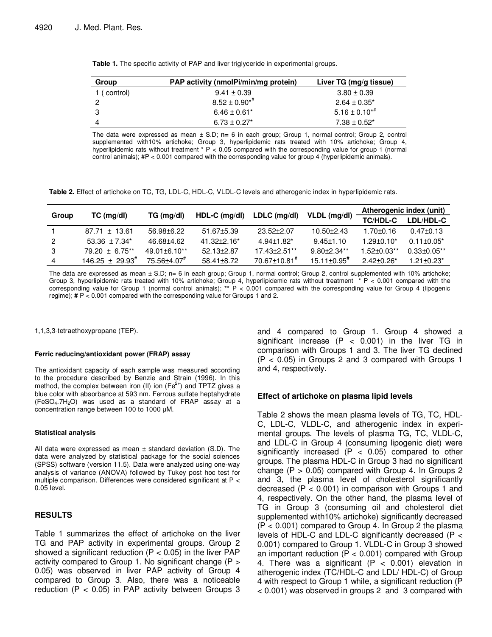| Group       | PAP activity (nmolPi/min/mg protein) | Liver TG (mg/g tissue) |  |  |
|-------------|--------------------------------------|------------------------|--|--|
| 1 (control) | $9.41 \pm 0.39$                      | $3.80 \pm 0.39$        |  |  |
|             | $8.52 \pm 0.90^{*}$                  | $2.64 \pm 0.35^*$      |  |  |
| 3           | $6.46 \pm 0.61^*$                    | $5.16 \pm 0.10^{*}$    |  |  |
|             | $6.73 \pm 0.27^*$                    | $7.38 \pm 0.52^*$      |  |  |

**Table 1.** The specific activity of PAP and liver triglyceride in experimental groups.

The data were expressed as mean ± S.D; **n=** 6 in each group; Group 1, normal control; Group 2, control supplemented with10% artichoke; Group 3, hyperlipidemic rats treated with 10% artichoke; Group 4, hyperlipidemic rats without treatment \* P < 0.05 compared with the corresponding value for group 1 (normal control animals); #P < 0.001 compared with the corresponding value for group 4 (hyperlipidemic animals).

**Table 2.** Effect of artichoke on TC, TG, LDL-C, HDL-C, VLDL-C levels and atherogenic index in hyperlipidemic rats.

|       | $TC$ (mg/dl)            | TG (mg/dl)                  | $HDL-C$ (mg/dl)    | LDLC (mg/dl)             | VLDL (mg/dl)                  | Atherogenic index (unit) |                    |
|-------|-------------------------|-----------------------------|--------------------|--------------------------|-------------------------------|--------------------------|--------------------|
| Group |                         |                             |                    |                          |                               | <b>TC/HDL-C</b>          | LDL/HDL-C          |
|       | $87.71 \pm 13.61$       | 56.98±6.22                  | $51.67 \pm 5.39$   | $23.52 + 2.07$           | $10.50 \pm 2.43$              | $1.70 + 0.16$            | $0.47 \pm 0.13$    |
| 2     | $53.36 \pm 7.34^*$      | 46.68+4.62                  | $41.32 \pm 2.16^*$ | $4.94 \pm 1.82^*$        | $9.45 \pm 1.10$               | $1.29 + 0.10*$           | $0.11 \pm 0.05^*$  |
| 3     | $79.20 \pm 6.75***$     | $49.01 \pm 6.10**$          | $52.13 \pm 2.87$   | 17.43±2.51**             | $9.80 + 2.34$ **              | $1.52 + 0.03**$          | $0.33 \pm 0.05$ ** |
| 4     | $146.25 \pm 29.93^{\#}$ | $75.56 + 4.07$ <sup>#</sup> | 58.41+8.72         | 70.67±10.81 <sup>#</sup> | $15.11 \pm 0.95$ <sup>#</sup> | $2.42 + 0.26*$           | $1.21 \pm 0.23$ *  |

The data are expressed as mean  $\pm$  S.D; n= 6 in each group; Group 1, normal control; Group 2, control supplemented with 10% artichoke; Group 3, hyperlipidemic rats treated with 10% artichoke; Group 4, hyperlipidemic rats without treatment  $* P < 0.001$  compared with the corresponding value for Group 1 (normal control animals); **\*\*** P < 0.001 compared with the corresponding value for Group 4 (lipogenic regime); **#** P < 0.001 compared with the corresponding value for Groups 1 and 2.

1,1,3,3-tetraethoxypropane (TEP).

#### **Ferric reducing/antioxidant power (FRAP) assay**

The antioxidant capacity of each sample was measured according to the procedure described by Benzie and Strain (1996). In this method, the complex between iron (II) ion ( $Fe<sup>2+</sup>$ ) and TPTZ gives a blue color with absorbance at 593 nm. Ferrous sulfate heptahydrate (FeSO4.7H2O) was used as a standard of FRAP assay at a concentration range between 100 to 1000 µM.

## **Statistical analysis**

All data were expressed as mean  $\pm$  standard deviation (S.D). The data were analyzed by statistical package for the social sciences (SPSS) software (version 11.5). Data were analyzed using one-way analysis of variance (ANOVA) followed by Tukey post hoc test for multiple comparison. Differences were considered significant at P < 0.05 level.

# **RESULTS**

Table 1 summarizes the effect of artichoke on the liver TG and PAP activity in experimental groups. Group 2 showed a significant reduction  $(P < 0.05)$  in the liver PAP activity compared to Group 1. No significant change (P > 0.05) was observed in liver PAP activity of Group 4 compared to Group 3. Also, there was a noticeable reduction (P < 0.05) in PAP activity between Groups 3 and 4 compared to Group 1. Group 4 showed a significant increase  $(P < 0.001)$  in the liver TG in comparison with Groups 1 and 3. The liver TG declined (P < 0.05) in Groups 2 and 3 compared with Groups 1 and 4, respectively.

# **Effect of artichoke on plasma lipid levels**

Table 2 shows the mean plasma levels of TG, TC, HDL-C, LDL-C, VLDL-C, and atherogenic index in experimental groups. The levels of plasma TG, TC, VLDL-C, and LDL-C in Group 4 (consuming lipogenic diet) were significantly increased ( $P < 0.05$ ) compared to other groups. The plasma HDL-C in Group 3 had no significant change  $(P > 0.05)$  compared with Group 4. In Groups 2 and 3, the plasma level of cholesterol significantly decreased  $(P < 0.001)$  in comparison with Groups 1 and 4, respectively. On the other hand, the plasma level of TG in Group 3 (consuming oil and cholesterol diet supplemented with10% artichoke) significantly decreased  $(P < 0.001)$  compared to Group 4. In Group 2 the plasma levels of HDL-C and LDL-C significantly decreased (P < 0.001) compared to Group 1. VLDL-C in Group 3 showed an important reduction  $(P < 0.001)$  compared with Group 4. There was a significant  $(P < 0.001)$  elevation in atherogenic index (TC/HDL-C and LDL/ HDL-C) of Group 4 with respect to Group 1 while, a significant reduction (P < 0.001) was observed in groups 2 and 3 compared with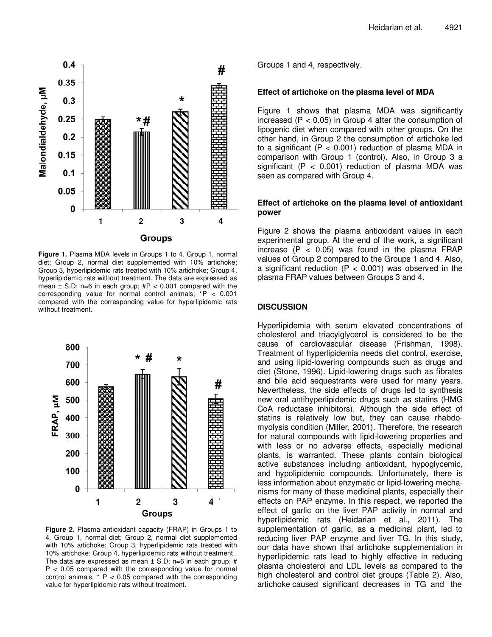

**Figure 1.** Plasma MDA levels in Groups 1 to 4. Group 1, normal diet; Group 2, normal diet supplemented with 10% artichoke; Group 3, hyperlipidemic rats treated with 10% artichoke; Group 4, hyperlipidemic rats without treatment. The data are expressed as mean  $\pm$  S.D; n=6 in each group;  $\#P < 0.001$  compared with the corresponding value for normal control animals; **\***P < 0.001 compared with the corresponding value for hyperlipidemic rats without treatment.



**Figure 2.** Plasma antioxidant capacity (FRAP) in Groups 1 to 4. Group 1, normal diet; Group 2, normal diet supplemented with 10% artichoke; Group 3, hyperlipidemic rats treated with 10% artichoke; Group 4, hyperlipidemic rats without treatment . The data are expressed as mean  $\pm$  S.D; n=6 in each group; # P < 0.05 compared with the corresponding value for normal control animals.  $* P < 0.05$  compared with the corresponding value for hyperlipidemic rats without treatment.

Groups 1 and 4, respectively.

## **Effect of artichoke on the plasma level of MDA**

Figure 1 shows that plasma MDA was significantly increased ( $P < 0.05$ ) in Group 4 after the consumption of lipogenic diet when compared with other groups. On the other hand, in Group 2 the consumption of artichoke led to a significant ( $P < 0.001$ ) reduction of plasma MDA in comparison with Group 1 (control). Also, in Group 3 a significant ( $P < 0.001$ ) reduction of plasma MDA was seen as compared with Group 4.

# **Effect of artichoke on the plasma level of antioxidant power**

Figure 2 shows the plasma antioxidant values in each experimental group. At the end of the work, a significant increase  $(P < 0.05)$  was found in the plasma FRAP values of Group 2 compared to the Groups 1 and 4. Also, a significant reduction ( $P < 0.001$ ) was observed in the plasma FRAP values between Groups 3 and 4.

# **DISCUSSION**

Hyperlipidemia with serum elevated concentrations of cholesterol and triacylglycerol is considered to be the cause of cardiovascular disease (Frishman, 1998). Treatment of hyperlipidemia needs diet control, exercise, and using lipid-lowering compounds such as drugs and diet (Stone, 1996). Lipid-lowering drugs such as fibrates and bile acid sequestrants were used for many years. Nevertheless, the side effects of drugs led to synthesis new oral antihyperlipidemic drugs such as statins (HMG CoA reductase inhibitors). Although the side effect of statins is relatively low but, they can cause rhabdomyolysis condition (Miller, 2001). Therefore, the research for natural compounds with lipid-lowering properties and with less or no adverse effects, especially medicinal plants, is warranted. These plants contain biological active substances including antioxidant, hypoglycemic, and hypolipidemic compounds. Unfortunately, there is less information about enzymatic or lipid-lowering mechanisms for many of these medicinal plants, especially their effects on PAP enzyme. In this respect, we reported the effect of garlic on the liver PAP activity in normal and hyperlipidemic rats (Heidarian et al., 2011). The supplementation of garlic, as a medicinal plant, led to reducing liver PAP enzyme and liver TG. In this study, our data have shown that artichoke supplementation in hyperlipidemic rats lead to highly effective in reducing plasma cholesterol and LDL levels as compared to the high cholesterol and control diet groups (Table 2). Also, artichoke caused significant decreases in TG and the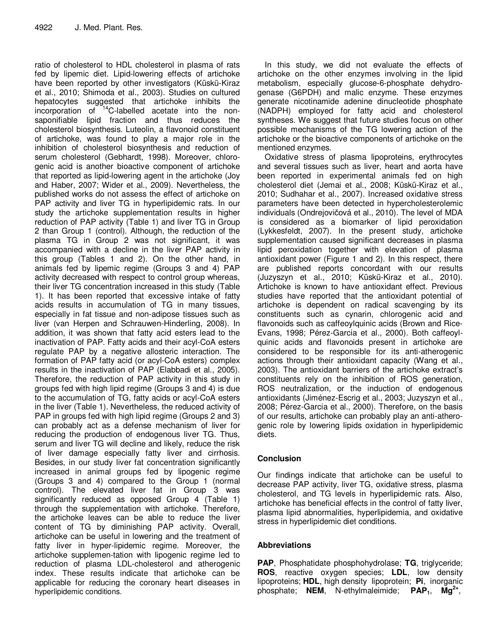ratio of cholesterol to HDL cholesterol in plasma of rats fed by lipemic diet. Lipid-lowering effects of artichoke have been reported by other investigators (Küskü-Kiraz et al., 2010; Shimoda et al., 2003). Studies on cultured hepatocytes suggested that artichoke inhibits the incorporation of  $14$ C-labelled acetate into the nonsaponifiable lipid fraction and thus reduces the cholesterol biosynthesis. Luteolin, a flavonoid constituent of artichoke, was found to play a major role in the inhibition of cholesterol biosynthesis and reduction of serum cholesterol (Gebhardt, 1998). Moreover, chlorogenic acid is another bioactive component of artichoke that reported as lipid-lowering agent in the artichoke (Joy and Haber, 2007; Wider et al., 2009). Nevertheless, the published works do not assess the effect of artichoke on PAP activity and liver TG in hyperlipidemic rats. In our study the artichoke supplementation results in higher reduction of PAP activity (Table 1) and liver TG in Group 2 than Group 1 (control). Although, the reduction of the plasma TG in Group 2 was not significant, it was accompanied with a decline in the liver PAP activity in this group (Tables 1 and 2). On the other hand, in animals fed by lipemic regime (Groups 3 and 4) PAP activity decreased with respect to control group whereas, their liver TG concentration increased in this study (Table 1). It has been reported that excessive intake of fatty acids results in accumulation of TG in many tissues, especially in fat tissue and non-adipose tissues such as liver (van Herpen and Schrauwen-Hinderling, 2008). In addition, it was shown that fatty acid esters lead to the inactivation of PAP. Fatty acids and their acyl-CoA esters regulate PAP by a negative allosteric interaction. The formation of PAP fatty acid (or acyl-CoA esters) complex results in the inactivation of PAP (Elabbadi et al., 2005). Therefore, the reduction of PAP activity in this study in groups fed with high lipid regime (Groups 3 and 4) is due to the accumulation of TG, fatty acids or acyl-CoA esters in the liver (Table 1). Nevertheless, the reduced activity of PAP in groups fed with high lipid regime (Groups 2 and 3) can probably act as a defense mechanism of liver for reducing the production of endogenous liver TG. Thus, serum and liver TG will decline and likely, reduce the risk of liver damage especially fatty liver and cirrhosis. Besides, in our study liver fat concentration significantly increased in animal groups fed by lipogenic regime (Groups 3 and 4) compared to the Group 1 (normal control). The elevated liver fat in Group 3 was significantly reduced as opposed Group 4 (Table 1) through the supplementation with artichoke. Therefore, the artichoke leaves can be able to reduce the liver content of TG by diminishing PAP activity. Overall, artichoke can be useful in lowering and the treatment of fatty liver in hyper-lipidemic regime. Moreover, the artichoke supplemen-tation with lipogenic regime led to reduction of plasma LDL-cholesterol and atherogenic index. These results indicate that artichoke can be applicable for reducing the coronary heart diseases in hyperlipidemic conditions.

In this study, we did not evaluate the effects of artichoke on the other enzymes involving in the lipid metabolism, especially glucose-6-phosphate dehydrogenase (G6PDH) and malic enzyme. These enzymes generate nicotinamide adenine dinucleotide phosphate (NADPH) employed for fatty acid and cholesterol syntheses. We suggest that future studies focus on other possible mechanisms of the TG lowering action of the artichoke or the bioactive components of artichoke on the mentioned enzymes.

Oxidative stress of plasma lipoproteins, erythrocytes and several tissues such as liver, heart and aorta have been reported in experimental animals fed on high cholesterol diet (Jemai et al., 2008; Küskü-Kiraz et al., 2010; Sudhahar et al., 2007). Increased oxidative stress parameters have been detected in hypercholesterolemic individuals (Ondrejovičová et al., 2010). The level of MDA is considered as a biomarker of lipid peroxidation (Lykkesfeldt, 2007). In the present study, artichoke supplementation caused significant decreases in plasma lipid peroxidation together with elevation of plasma antioxidant power (Figure 1 and 2). In this respect, there are published reports concordant with our results (Juzyszyn et al., 2010; Küskü-Kiraz et al., 2010). Artichoke is known to have antioxidant effect. Previous studies have reported that the antioxidant potential of artichoke is dependent on radical scavenging by its constituents such as cynarin, chlorogenic acid and flavonoids such as caffeoylquinic acids (Brown and Rice-Evans, 1998; Pérez-Garcia et al., 2000). Both caffeoylquinic acids and flavonoids present in artichoke are considered to be responsible for its anti-atherogenic actions through their antioxidant capacity (Wang et al., 2003). The antioxidant barriers of the artichoke extract's constituents rely on the inhibition of ROS generation, ROS neutralization, or the induction of endogenous antioxidants (Jiménez-Escrig et al., 2003; Juzyszyn et al., 2008; Pérez-Garcia et al., 2000). Therefore, on the basis of our results, artichoke can probably play an anti-atherogenic role by lowering lipids oxidation in hyperlipidemic diets.

# **Conclusion**

Our findings indicate that artichoke can be useful to decrease PAP activity, liver TG, oxidative stress, plasma cholesterol, and TG levels in hyperlipidemic rats. Also, artichoke has beneficial effects in the control of fatty liver, plasma lipid abnormalities, hyperlipidemia, and oxidative stress in hyperlipidemic diet conditions.

# **Abbreviations**

**PAP**, Phosphatidate phosphohydrolase; **TG**, triglyceride; **ROS**, reactive oxygen species; **LDL**, low density lipoproteins; **HDL**, high density lipoprotein; **Pi**, inorganic phosphate; **NEM**, N-ethylmaleimide; **PAP1**, **Mg2+** ,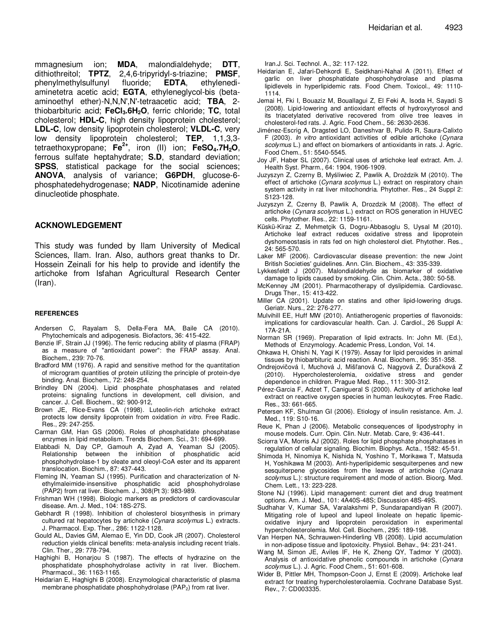mmagnesium ion; **MDA**, malondialdehyde; **DTT**, dithiothreitol; **TPTZ**, 2,4,6-tripyridyl-s-triazine; **PMSF**, phenylmethylsulfunyl fluoride; **EDTA**, ethylenediaminetetra acetic acid; **EGTA**, ethyleneglycol-bis (betaaminoethyl ether)-N,N,N',N'-tetraacetic acid; **TBA**, 2 thiobarbituric acid; **FeCl3.6H2O**, ferric chloride; **TC**, total cholesterol; **HDL-C**, high density lipoprotein cholesterol; **LDL-C**, low density lipoprotein cholesterol; **VLDL-C**, very low density lipoprotein cholesterol; **TEP**, 1,1,3,3 tetraethoxypropane; **Fe2+**, iron (II) ion; **FeSO4.7H2O**, ferrous sulfate heptahydrate; **S.D**, standard deviation; **SPSS**, statistical package for the social sciences; **ANOVA**, analysis of variance; **G6PDH**, glucose-6 phosphatedehydrogenase; **NADP**, Nicotinamide adenine dinucleotide phosphate.

# **ACKNOWLEDGEMENT**

This study was funded by Ilam University of Medical Sciences, Ilam. Iran. Also, authors great thanks to Dr. Hossein Zeinali for his help to provide and identify the artichoke from Isfahan Agricultural Research Center (Iran).

#### **REFERENCES**

- Andersen C, Rayalam S, Della-Fera MA, Baile CA (2010). Phytochemicals and adipogenesis. Biofactors, 36: 415-422.
- Benzie IF, Strain JJ (1996). The ferric reducing ability of plasma (FRAP) as a measure of "antioxidant power": the FRAP assay. Anal. Biochem., 239: 70-76.
- Bradford MM (1976). A rapid and sensitive method for the quantitation of microgram quantities of protein utilizing the principle of protein-dye binding. Anal. Biochem., 72: 248-254.
- Brindley DN (2004). Lipid phosphate phosphatases and related proteins: signaling functions in development, cell division, and cancer. J. Cell. Biochem., 92: 900-912,
- Brown JE, Rice-Evans CA (1998). Luteolin-rich artichoke extract protects low density lipoprotein from oxidation in vitro. Free Radic. Res., 29: 247-255.
- Carman GM, Han GS (2006). Roles of phosphatidate phosphatase enzymes in lipid metabolism. Trends Biochem. Sci., 31: 694-699.
- Elabbadi N, Day CP, Gamouh A, Zyad A, Yeaman SJ (2005). Relationship between the inhibition of phosphatidic acid phosphohydrolase-1 by oleate and oleoyl-CoA ester and its apparent translocation. Biochim., 87: 437-443.
- Fleming IN, Yeaman SJ (1995). Purification and characterization of Nethylmaleimide-insensitive phosphatidic acid phosphohydrolase (PAP2) from rat liver. Biochem. J., 308(Pt 3): 983-989.
- Frishman WH (1998). Biologic markers as predictors of cardiovascular disease. Am. J. Med., 104: 18S-27S.
- Gebhardt R (1998). Inhibition of cholesterol biosynthesis in primary cultured rat hepatocytes by artichoke (Cynara scolymus L.) extracts. J. Pharmacol. Exp. Ther., 286: 1122-1128.
- Gould AL, Davies GM, Alemao E, Yin DD, Cook JR (2007). Cholesterol reduction yields clinical benefits: meta-analysis including recent trials. Clin. Ther., 29: 778-794.
- Haghighi B, Honarjou S (1987). The effects of hydrazine on the phosphatidate phosphohydrolase activity in rat liver. Biochem. Pharmacol., 36: 1163-1165.
- Heidarian E, Haghighi B (2008). Enzymological characteristic of plasma membrane phosphatidate phosphohydrolase (PAP<sub>2</sub>) from rat liver.

Iran.J. Sci. Technol. A., 32: 117-122.

- Heidarian E, Jafari-Dehkordi E, Seidkhani-Nahal A (2011). Effect of garlic on liver phosphatidate phosphohydrolase and plasma lipidlevels in hyperlipidemic rats. Food Chem. Toxicol., 49: 1110- 1114.
- Jemai H, Fki I, Bouaziz M, Bouallagui Z, El Feki A, Isoda H, Sayadi S (2008). Lipid-lowering and antioxidant effects of hydroxytyrosol and its triacetylated derivative recovered from olive tree leaves in cholesterol-fed rats. J. Agric. Food Chem., 56: 2630-2636.
- Jiménez-Escrig A, Dragsted LO, Daneshvar B, Pulido R, Saura-Calixto F (2003). In vitro antioxidant activities of edible artichoke (Cynara scolymus L.) and effect on biomarkers of antioxidants in rats. J. Agric. Food Chem., 51: 5540-5545.
- Joy JF, Haber SL (2007). Clinical uses of artichoke leaf extract. Am. J. Health Syst. Pharm., 64: 1904, 1906-1909.
- Juzyszyn Z, Czerny B, Myśliwiec Z, Pawlik A, Droździk M (2010). The effect of artichoke (Cynara scolymus L.) extract on respiratory chain system activity in rat liver mitochondria. Phytother. Res., 24 Suppl 2: S123-128.
- Juzyszyn Z, Czerny B, Pawlik A, Drozdzik M (2008). The effect of artichoke (Cynara scolymus L.) extract on ROS generation in HUVEC cells. Phytother. Res., 22: 1159-1161.
- Küskü-Kiraz Z, Mehmetçik G, Dogru-Abbasoglu S, Uysal M (2010). Artichoke leaf extract reduces oxidative stress and lipoprotein dyshomeostasis in rats fed on high cholesterol diet. Phytother. Res., 24: 565-570.
- Laker MF (2006). Cardiovascular disease prevention: the new Joint British Societies' guidelines. Ann. Clin. Biochem., 43: 335-339.
- Lykkesfeldt J (2007). Malondialdehyde as biomarker of oxidative damage to lipids caused by smoking. Clin. Chim. Acta., 380: 50-58.
- McKenney JM (2001). Pharmacotherapy of dyslipidemia. Cardiovasc. Drugs Ther., 15: 413-422.
- Miller CA (2001). Update on statins and other lipid-lowering drugs. Geriatr. Nurs., 22: 276-277.
- Mulvihill EE, Huff MW (2010). Antiatherogenic properties of flavonoids: implications for cardiovascular health. Can. J. Cardiol., 26 Suppl A: 17A-21A.
- Norman SR (1969). Preparation of lipid extracts. In: John MI. (Ed.), Methods of Enzymology. Academic Press, London, Vol. 14.
- Ohkawa H, Ohishi N, Yagi K (1979). Assay for lipid peroxides in animal tissues by thiobarbituric acid reaction. Anal. Biochem., 95: 351-358.
- Ondrejovičová I, Muchová J, Mišľanová C, Nagyová Z, Ďuračková Z (2010). Hypercholesterolemia, oxidative stress and gender dependence in children. Prague Med. Rep., 111: 300-312.
- Pérez-Garcia F, Adzet T, Canigueral S (2000). Activity of artichoke leaf extract on reactive oxygen species in human leukocytes. Free Radic. Res., 33: 661-665.
- Petersen KF, Shulman GI (2006). Etiology of insulin resistance. Am. J. Med., 119: S10-16.
- Reue K, Phan J (2006). Metabolic consequences of lipodystrophy in mouse models. Curr. Opin. Clin. Nutr. Metab. Care, 9: 436-441.
- Sciorra VA, Morris AJ (2002). Roles for lipid phosphate phosphatases in regulation of cellular signaling. Biochim. Biophys. Acta., 1582: 45-51.
- Shimoda H, Ninomiya K, Nishida N, Yoshino T, Morikawa T, Matsuda H, Yoshikawa M (2003). Anti-hyperlipidemic sesquiterpenes and new sesquiterpene glycosides from the leaves of artichoke (Cynara scolymus L.): structure requirement and mode of action. Bioorg. Med. Chem. Lett., 13: 223-228.
- Stone NJ (1996). Lipid management: current diet and drug treatment options. Am. J. Med., 101: 4A40S-48S; Discussion 48S-49S.
- Sudhahar V, Kumar SA, Varalakshmi P, Sundarapandiyan R (2007). Mitigating role of lupeol and lupeol linoleate on hepatic lipemicoxidative injury and lipoprotein peroxidation in experimental hypercholesterolemia. Mol. Cell. Biochem., 295: 189-198.
- Van Herpen NA, Schrauwen-Hinderling VB (2008). Lipid accumulation in non-adipose tissue and lipotoxicity. Physiol. Behav., 94: 231-241.
- Wang M, Simon JE, Aviles IF, He K, Zheng QY, Tadmor Y (2003). Analysis of antioxidative phenolic compounds in artichoke (Cynara scolymus L.). J. Agric. Food Chem., 51: 601-608.
- Wider B, Pittler MH, Thompson-Coon J, Ernst E (2009). Artichoke leaf extract for treating hypercholesterolaemia. Cochrane Database Syst. Rev., 7: CD003335.